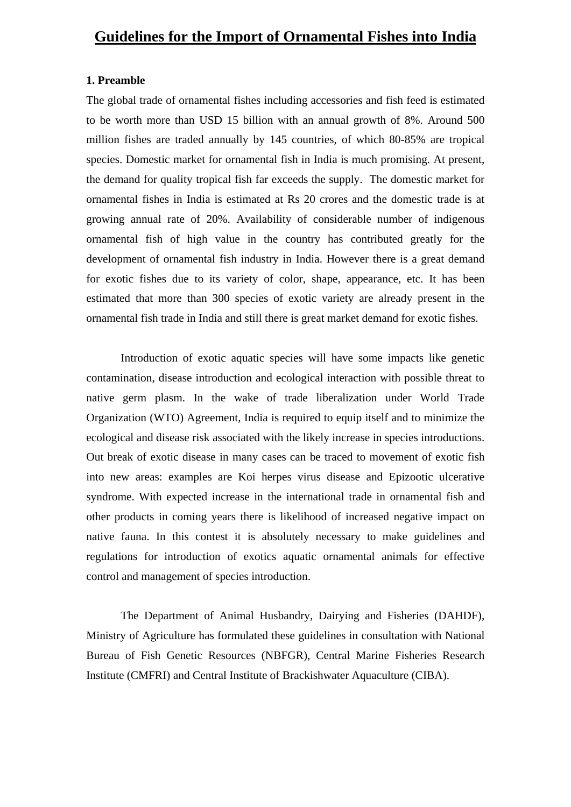### **1. Preamble**

The global trade of ornamental fishes including accessories and fish feed is estimated to be worth more than USD 15 billion with an annual growth of 8%. Around 500 million fishes are traded annually by 145 countries, of which 80-85% are tropical species. Domestic market for ornamental fish in India is much promising. At present, the demand for quality tropical fish far exceeds the supply. The domestic market for ornamental fishes in India is estimated at Rs 20 crores and the domestic trade is at growing annual rate of 20%. Availability of considerable number of indigenous ornamental fish of high value in the country has contributed greatly for the development of ornamental fish industry in India. However there is a great demand for exotic fishes due to its variety of color, shape, appearance, etc. It has been estimated that more than 300 species of exotic variety are already present in the ornamental fish trade in India and still there is great market demand for exotic fishes.

Introduction of exotic aquatic species will have some impacts like genetic contamination, disease introduction and ecological interaction with possible threat to native germ plasm. In the wake of trade liberalization under World Trade Organization (WTO) Agreement, India is required to equip itself and to minimize the ecological and disease risk associated with the likely increase in species introductions. Out break of exotic disease in many cases can be traced to movement of exotic fish into new areas: examples are Koi herpes virus disease and Epizootic ulcerative syndrome. With expected increase in the international trade in ornamental fish and other products in coming years there is likelihood of increased negative impact on native fauna. In this contest it is absolutely necessary to make guidelines and regulations for introduction of exotics aquatic ornamental animals for effective control and management of species introduction.

The Department of Animal Husbandry, Dairying and Fisheries (DAHDF), Ministry of Agriculture has formulated these guidelines in consultation with National Bureau of Fish Genetic Resources (NBFGR), Central Marine Fisheries Research Institute (CMFRI) and Central Institute of Brackishwater Aquaculture (CIBA).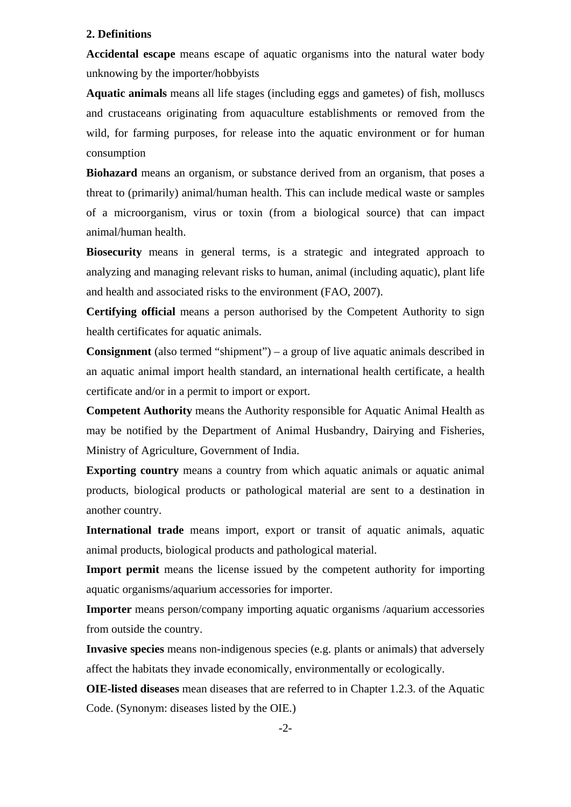#### **2. Definitions**

**Accidental escape** means escape of aquatic organisms into the natural water body unknowing by the importer/hobbyists

**Aquatic animals** means all life stages (including eggs and gametes) of fish, molluscs and crustaceans originating from aquaculture establishments or removed from the wild, for farming purposes, for release into the aquatic environment or for human consumption

**Biohazard** means an organism, or substance derived from an organism, that poses a threat to (primarily) animal/human health. This can include medical waste or samples of a [microorganism,](http://en.wikipedia.org/wiki/Microorganism) [virus](http://en.wikipedia.org/wiki/Virus) or [toxin](http://en.wikipedia.org/wiki/Toxin) (from a biological source) that can impact animal/human health.

**Biosecurity** means in general terms, is a strategic and integrated approach to analyzing and managing relevant risks to human, animal (including aquatic), plant life and health and associated risks to the environment (FAO, 2007).

**Certifying official** means a person authorised by the [Competent Authority](http://www.oie.int/eng/normes/fcode/en_chapitre_1.1.1.htm#terme_autorite_competente#terme_autorite_competente) to sign health certificates for [aquatic animals.](http://www.oie.int/eng/normes/fcode/en_chapitre_1.1.1.htm#terme_animaux_aquatiques)

**Consignment** (also termed "shipment") – a group of live aquatic animals described in an aquatic animal import health standard, an international health certificate, a health certificate and/or in a permit to import or export.

**Competent Authority** means the Authority responsible for Aquatic Animal Health as may be notified by the Department of Animal Husbandry, Dairying and Fisheries, Ministry of Agriculture, Government of India.

**Exporting country** means a country from which [aquatic animals](http://www.oie.int/eng/normes/fcode/en_chapitre_1.1.1.htm#terme_animaux_aquatiques) or aquatic animal [products](http://www.oie.int/eng/normes/fcode/en_chapitre_1.1.1.htm#terme_produits_d_animaux_aquatiques), [biological products](http://www.oie.int/eng/normes/fcode/en_chapitre_1.1.1.htm#terme_produits_biologiques) or [pathological material](http://www.oie.int/eng/normes/fcode/en_chapitre_1.1.1.htm#terme_materiel_pathologique#terme_materiel_pathologique) are sent to a destination in another country.

**International trade** means import, export or transit of [aquatic animals](http://www.oie.int/eng/normes/fcode/en_chapitre_1.1.1.htm#terme_animaux_aquatiques), [aquatic](http://www.oie.int/eng/normes/fcode/en_chapitre_1.1.1.htm#terme_produits_d_animaux_aquatiques)  [animal products,](http://www.oie.int/eng/normes/fcode/en_chapitre_1.1.1.htm#terme_produits_d_animaux_aquatiques) biological products and [pathological material](http://www.oie.int/eng/normes/fcode/en_chapitre_1.1.1.htm#terme_materiel_pathologique#terme_materiel_pathologique).

**Import permit** means the license issued by the competent authority for importing aquatic organisms/aquarium accessories for importer.

**Importer** means person/company importing aquatic organisms /aquarium accessories from outside the country.

**Invasive species** means [non-indigenous species](http://en.wikipedia.org/wiki/Non-indigenous_species) (e.g. plants or animals) that adversely affect the habitats they invade economically, environmentally or ecologically.

**OIE-listed diseases** mean [diseases](http://www.oie.int/eng/normes/fcode/en_chapitre_1.1.1.htm#terme_maladie) that are referred to in Chapter [1.2.3.](http://www.oie.int/eng/normes/fcode/en_chapitre_1.2.3.htm#chapitre_1.2.3.) of the [Aquatic](http://www.oie.int/eng/normes/fcode/en_chapitre_1.1.1.htm#terme_code_aquatique)  [Code](http://www.oie.int/eng/normes/fcode/en_chapitre_1.1.1.htm#terme_code_aquatique). (Synonym: diseases listed by the OIE.)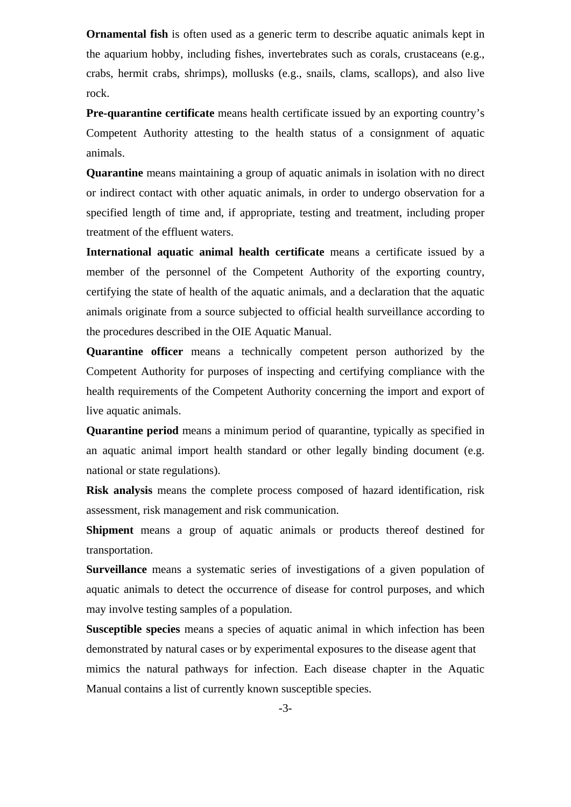**Ornamental fish** is often used as a generic term to describe aquatic animals kept in the aquarium hobby, including fishes, invertebrates such as corals, crustaceans (e.g., crabs, hermit crabs, shrimps), mollusks (e.g., snails, clams, scallops), and also live rock.

**Pre-quarantine certificate** means health certificate issued by an exporting country's Competent Authority attesting to the health status of a consignment of aquatic animals.

**Quarantine** means maintaining a group of [aquatic animals](http://www.oie.int/eng/normes/fcode/en_chapitre_1.1.1.htm#terme_animaux_aquatiques) in isolation with no direct or indirect contact with other [aquatic animals](http://www.oie.int/eng/normes/fcode/en_chapitre_1.1.1.htm#terme_animaux_aquatiques), in order to undergo observation for a specified length of time and, if appropriate, testing and treatment, including proper treatment of the effluent waters.

**International aquatic animal health certificate** means a certificate issued by a member of the [personnel of the Competent Authority](http://www.oie.int/eng/normes/fcode/en_chapitre_1.1.1.htm#terme_personnel_de_l_autorite_competente#terme_personnel_de_l_autorite_competente) of the [exporting country](http://www.oie.int/eng/normes/fcode/en_chapitre_1.1.1.htm#terme_pays_exportateur), certifying the state of health of the [aquatic animals,](http://www.oie.int/eng/normes/fcode/en_chapitre_1.1.1.htm#terme_animaux_aquatiques) and a declaration that the [aquatic](http://www.oie.int/eng/normes/fcode/en_chapitre_1.1.1.htm#terme_animaux_aquatiques)  [animals](http://www.oie.int/eng/normes/fcode/en_chapitre_1.1.1.htm#terme_animaux_aquatiques) originate from a source subjected to official health [surveillance](http://www.oie.int/eng/normes/fcode/en_chapitre_1.1.1.htm#terme_surveillance#terme_surveillance) according to the procedures described in the OIE [Aquatic Manual.](http://www.oie.int/eng/normes/fcode/en_chapitre_1.1.1.htm#terme_manuel_aquatique)

**Quarantine officer** means a technically competent person authorized by the Competent Authority for purposes of inspecting and certifying compliance with the health requirements of the Competent Authority concerning the import and export of live aquatic animals.

**Quarantine period** means a minimum period of quarantine, typically as specified in an aquatic animal import health standard or other legally binding document (e.g. national or state regulations).

**Risk analysis** means the complete process composed of [hazard identification](http://www.oie.int/eng/normes/fcode/en_chapitre_1.1.1.htm#terme_identification_du_danger), [risk](http://www.oie.int/eng/normes/fcode/en_chapitre_1.1.1.htm#terme_appreciation_du_risque#terme_appreciation_du_risque)  [assessment](http://www.oie.int/eng/normes/fcode/en_chapitre_1.1.1.htm#terme_appreciation_du_risque#terme_appreciation_du_risque), [risk management](http://www.oie.int/eng/normes/fcode/en_chapitre_1.1.1.htm#terme_gestion_du_risque#terme_gestion_du_risque) and [risk communication.](http://www.oie.int/eng/normes/fcode/en_chapitre_1.1.1.htm#terme_communication_relative_au_risque#terme_communication_relative_au_risque)

**Shipment** means a group of [aquatic animals](http://www.oie.int/eng/normes/fcode/en_chapitre_1.1.1.htm#terme_animaux_aquatiques) or products thereof destined for transportation.

**Surveillance** means a systematic series of investigations of a given [population](http://www.oie.int/eng/normes/fcode/en_chapitre_1.1.1.htm#terme_population) of [aquatic animals](http://www.oie.int/eng/normes/fcode/en_chapitre_1.1.1.htm#terme_animaux_aquatiques) to detect the occurrence of [disease](http://www.oie.int/eng/normes/fcode/en_chapitre_1.1.1.htm#terme_maladie) for control purposes, and which may involve testing samples of a [population.](http://www.oie.int/eng/normes/fcode/en_chapitre_1.1.1.htm#terme_population)

**Susceptible species** means a species of [aquatic animal](http://www.oie.int/eng/normes/fcode/en_chapitre_1.1.1.htm#terme_animaux_aquatiques) in which [infection](http://www.oie.int/eng/normes/fcode/en_chapitre_1.1.1.htm#terme_infection) has been demonstrated by natural cases or by experimental exposures to the [disease agent](http://www.oie.int/eng/normes/fcode/en_chapitre_1.1.1.htm#terme_agent_pathogene) that mimics the natural pathways for [infection.](http://www.oie.int/eng/normes/fcode/en_chapitre_1.1.1.htm#terme_infection) Each [disease](http://www.oie.int/eng/normes/fcode/en_chapitre_1.1.1.htm#terme_maladie) chapter in the [Aquatic](http://www.oie.int/eng/normes/fcode/en_chapitre_1.1.1.htm#terme_manuel_aquatique)  [Manual c](http://www.oie.int/eng/normes/fcode/en_chapitre_1.1.1.htm#terme_manuel_aquatique)ontains a list of currently known [susceptible species.](http://www.oie.int/eng/normes/fcode/en_chapitre_1.1.1.htm#terme_espece_sensible)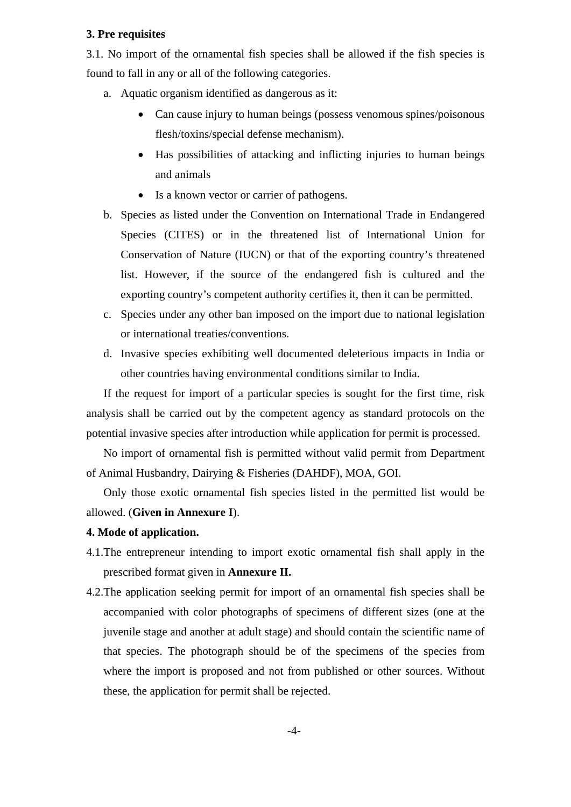#### **3. Pre requisites**

3.1. No import of the ornamental fish species shall be allowed if the fish species is found to fall in any or all of the following categories.

- a. Aquatic organism identified as dangerous as it:
	- Can cause injury to human beings (possess venomous spines/poisonous flesh/toxins/special defense mechanism).
	- Has possibilities of attacking and inflicting injuries to human beings and animals
	- Is a known vector or carrier of pathogens.
- b. Species as listed under the Convention on International Trade in Endangered Species (CITES) or in the threatened list of International Union for Conservation of Nature (IUCN) or that of the exporting country's threatened list. However, if the source of the endangered fish is cultured and the exporting country's competent authority certifies it, then it can be permitted.
- c. Species under any other ban imposed on the import due to national legislation or international treaties/conventions.
- d. Invasive species exhibiting well documented deleterious impacts in India or other countries having environmental conditions similar to India.

If the request for import of a particular species is sought for the first time, risk analysis shall be carried out by the competent agency as standard protocols on the potential invasive species after introduction while application for permit is processed.

No import of ornamental fish is permitted without valid permit from Department of Animal Husbandry, Dairying & Fisheries (DAHDF), MOA, GOI.

Only those exotic ornamental fish species listed in the permitted list would be allowed. (**Given in Annexure I**).

#### **4. Mode of application.**

- 4.1.The entrepreneur intending to import exotic ornamental fish shall apply in the prescribed format given in **Annexure II.**
- 4.2.The application seeking permit for import of an ornamental fish species shall be accompanied with color photographs of specimens of different sizes (one at the juvenile stage and another at adult stage) and should contain the scientific name of that species. The photograph should be of the specimens of the species from where the import is proposed and not from published or other sources. Without these, the application for permit shall be rejected.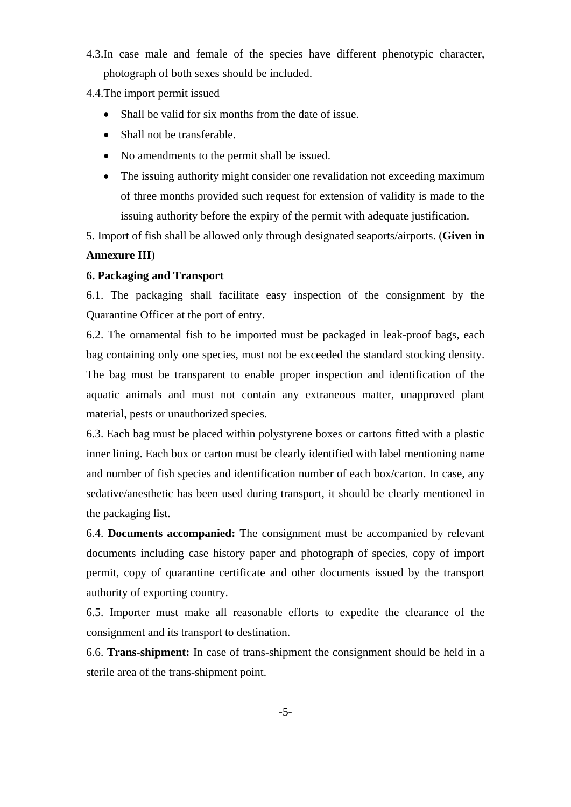- 4.3.In case male and female of the species have different phenotypic character, photograph of both sexes should be included.
- 4.4.The import permit issued
	- Shall be valid for six months from the date of issue.
	- Shall not be transferable.
	- No amendments to the permit shall be issued.
	- The issuing authority might consider one revalidation not exceeding maximum of three months provided such request for extension of validity is made to the issuing authority before the expiry of the permit with adequate justification.

5. Import of fish shall be allowed only through designated seaports/airports. (**Given in** 

## **Annexure III**)

## **6. Packaging and Transport**

6.1. The packaging shall facilitate easy inspection of the consignment by the Quarantine Officer at the port of entry.

6.2. The ornamental fish to be imported must be packaged in leak-proof bags, each bag containing only one species, must not be exceeded the standard stocking density. The bag must be transparent to enable proper inspection and identification of the aquatic animals and must not contain any extraneous matter, unapproved plant material, pests or unauthorized species.

6.3. Each bag must be placed within polystyrene boxes or cartons fitted with a plastic inner lining. Each box or carton must be clearly identified with label mentioning name and number of fish species and identification number of each box/carton. In case, any sedative/anesthetic has been used during transport, it should be clearly mentioned in the packaging list.

6.4. **Documents accompanied:** The consignment must be accompanied by relevant documents including case history paper and photograph of species, copy of import permit, copy of quarantine certificate and other documents issued by the transport authority of exporting country.

6.5. Importer must make all reasonable efforts to expedite the clearance of the consignment and its transport to destination.

6.6. **Trans-shipment:** In case of trans-shipment the consignment should be held in a sterile area of the trans-shipment point.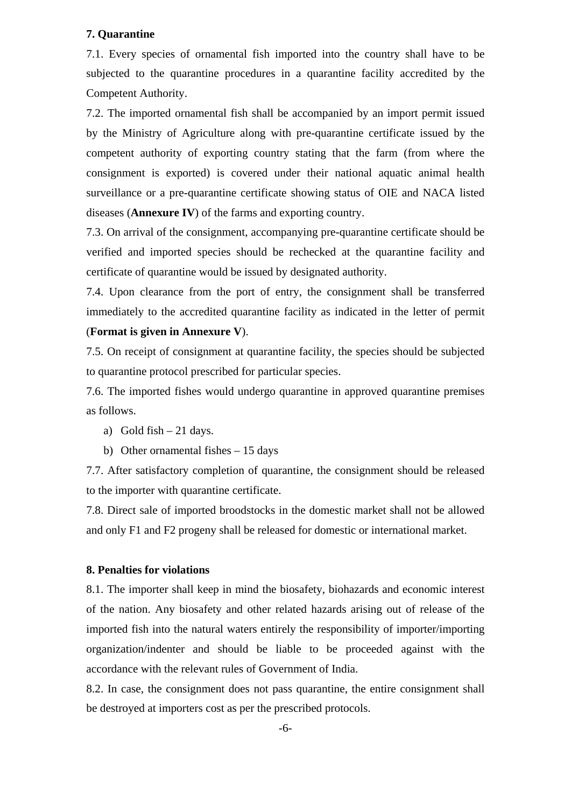## **7. Quarantine**

7.1. Every species of ornamental fish imported into the country shall have to be subjected to the quarantine procedures in a quarantine facility accredited by the Competent Authority.

7.2. The imported ornamental fish shall be accompanied by an import permit issued by the Ministry of Agriculture along with pre-quarantine certificate issued by the competent authority of exporting country stating that the farm (from where the consignment is exported) is covered under their national aquatic animal health surveillance or a pre-quarantine certificate showing status of OIE and NACA listed diseases (**Annexure IV**) of the farms and exporting country.

7.3. On arrival of the consignment, accompanying pre-quarantine certificate should be verified and imported species should be rechecked at the quarantine facility and certificate of quarantine would be issued by designated authority.

7.4. Upon clearance from the port of entry, the consignment shall be transferred immediately to the accredited quarantine facility as indicated in the letter of permit (**Format is given in Annexure V**).

7.5. On receipt of consignment at quarantine facility, the species should be subjected to quarantine protocol prescribed for particular species.

7.6. The imported fishes would undergo quarantine in approved quarantine premises as follows.

- a) Gold fish  $-21$  days.
- b) Other ornamental fishes 15 days

7.7. After satisfactory completion of quarantine, the consignment should be released to the importer with quarantine certificate.

7.8. Direct sale of imported broodstocks in the domestic market shall not be allowed and only F1 and F2 progeny shall be released for domestic or international market.

#### **8. Penalties for violations**

8.1. The importer shall keep in mind the biosafety, biohazards and economic interest of the nation. Any biosafety and other related hazards arising out of release of the imported fish into the natural waters entirely the responsibility of importer/importing organization/indenter and should be liable to be proceeded against with the accordance with the relevant rules of Government of India.

8.2. In case, the consignment does not pass quarantine, the entire consignment shall be destroyed at importers cost as per the prescribed protocols.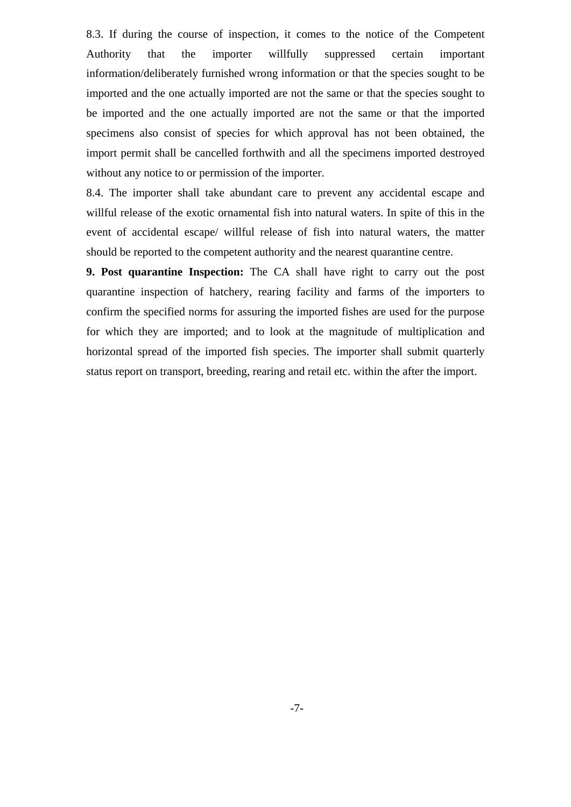8.3. If during the course of inspection, it comes to the notice of the Competent Authority that the importer willfully suppressed certain important information/deliberately furnished wrong information or that the species sought to be imported and the one actually imported are not the same or that the species sought to be imported and the one actually imported are not the same or that the imported specimens also consist of species for which approval has not been obtained, the import permit shall be cancelled forthwith and all the specimens imported destroyed without any notice to or permission of the importer.

8.4. The importer shall take abundant care to prevent any accidental escape and willful release of the exotic ornamental fish into natural waters. In spite of this in the event of accidental escape/ willful release of fish into natural waters, the matter should be reported to the competent authority and the nearest quarantine centre.

**9. Post quarantine Inspection:** The CA shall have right to carry out the post quarantine inspection of hatchery, rearing facility and farms of the importers to confirm the specified norms for assuring the imported fishes are used for the purpose for which they are imported; and to look at the magnitude of multiplication and horizontal spread of the imported fish species. The importer shall submit quarterly status report on transport, breeding, rearing and retail etc. within the after the import.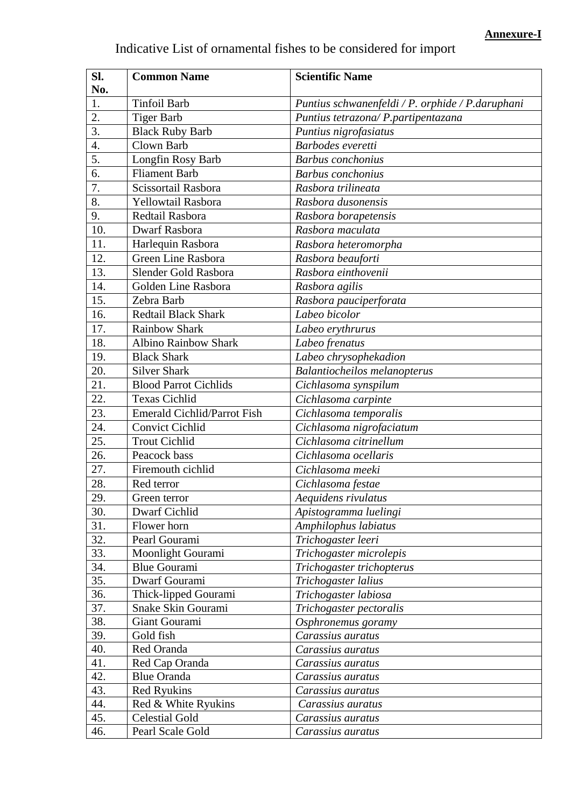| Indicative List of ornamental fishes to be considered for import |  |  |  |  |  |  |  |  |  |  |  |  |
|------------------------------------------------------------------|--|--|--|--|--|--|--|--|--|--|--|--|
|------------------------------------------------------------------|--|--|--|--|--|--|--|--|--|--|--|--|

| 1.<br><b>Tinfoil Barb</b><br>Puntius schwanenfeldi / P. orphide / P. daruphani<br>2.<br><b>Tiger Barb</b><br>Puntius tetrazona/ P.partipentazana<br>3.<br><b>Black Ruby Barb</b><br>Puntius nigrofasiatus<br>4.<br>Clown Barb<br>Barbodes everetti<br>5.<br><b>Barbus</b> conchonius<br>Longfin Rosy Barb<br>6.<br><b>Fliament Barb</b><br><b>Barbus</b> conchonius<br>Scissortail Rasbora<br>7.<br>Rasbora trilineata<br>8.<br>Yellowtail Rasbora<br>Rasbora dusonensis<br>9.<br>Redtail Rasbora<br>Rasbora borapetensis<br>10.<br><b>Dwarf Rasbora</b><br>Rasbora maculata<br>11.<br>Harlequin Rasbora<br>Rasbora heteromorpha<br>12.<br>Green Line Rasbora<br>Rasbora beauforti<br>13.<br>Slender Gold Rasbora<br>Rasbora einthovenii<br>14.<br>Golden Line Rasbora<br>Rasbora agilis<br>15.<br>Zebra Barb<br>Rasbora pauciperforata<br>Labeo bicolor<br>16.<br><b>Redtail Black Shark</b><br><b>Rainbow Shark</b><br>17.<br>Labeo erythrurus<br>Albino Rainbow Shark<br>18.<br>Labeo frenatus<br>19.<br><b>Black Shark</b><br>Labeo chrysophekadion<br>20.<br><b>Silver Shark</b><br><b>Balantiocheilos melanopterus</b><br>21.<br><b>Blood Parrot Cichlids</b><br>Cichlasoma synspilum<br>22.<br><b>Texas Cichlid</b><br>Cichlasoma carpinte<br>23.<br>Emerald Cichlid/Parrot Fish<br>Cichlasoma temporalis<br>24.<br><b>Convict Cichlid</b><br>Cichlasoma nigrofaciatum<br>25.<br><b>Trout Cichlid</b><br>Cichlasoma citrinellum<br>26.<br>Peacock bass<br>Cichlasoma ocellaris<br>Firemouth cichlid<br>27.<br>Cichlasoma meeki<br>Red terror<br>28.<br>Cichlasoma festae<br>29.<br>Green terror<br>Aequidens rivulatus<br>30.<br>Dwarf Cichlid<br>Apistogramma luelingi<br>31.<br>Flower horn<br>Amphilophus labiatus<br>32.<br>Pearl Gourami<br>Trichogaster leeri<br>33.<br>Trichogaster microlepis<br>Moonlight Gourami<br>34.<br><b>Blue Gourami</b><br>Trichogaster trichopterus<br>35.<br>Dwarf Gourami<br>Trichogaster lalius<br>36.<br>Thick-lipped Gourami<br>Trichogaster labiosa<br>37.<br>Snake Skin Gourami<br>Trichogaster pectoralis<br>38.<br>Giant Gourami<br>Osphronemus goramy<br>39.<br>Gold fish<br>Carassius auratus<br>40.<br>Red Oranda<br>Carassius auratus<br>41.<br>Red Cap Oranda<br>Carassius auratus<br>42.<br><b>Blue Oranda</b><br>Carassius auratus<br>43.<br><b>Red Ryukins</b><br>Carassius auratus | Sl.<br>No. | <b>Common Name</b> | <b>Scientific Name</b> |
|-----------------------------------------------------------------------------------------------------------------------------------------------------------------------------------------------------------------------------------------------------------------------------------------------------------------------------------------------------------------------------------------------------------------------------------------------------------------------------------------------------------------------------------------------------------------------------------------------------------------------------------------------------------------------------------------------------------------------------------------------------------------------------------------------------------------------------------------------------------------------------------------------------------------------------------------------------------------------------------------------------------------------------------------------------------------------------------------------------------------------------------------------------------------------------------------------------------------------------------------------------------------------------------------------------------------------------------------------------------------------------------------------------------------------------------------------------------------------------------------------------------------------------------------------------------------------------------------------------------------------------------------------------------------------------------------------------------------------------------------------------------------------------------------------------------------------------------------------------------------------------------------------------------------------------------------------------------------------------------------------------------------------------------------------------------------------------------------------------------------------------------------------------------------------------------------------------------------------------------------------------------------------------------------------------------------------------------------------|------------|--------------------|------------------------|
|                                                                                                                                                                                                                                                                                                                                                                                                                                                                                                                                                                                                                                                                                                                                                                                                                                                                                                                                                                                                                                                                                                                                                                                                                                                                                                                                                                                                                                                                                                                                                                                                                                                                                                                                                                                                                                                                                                                                                                                                                                                                                                                                                                                                                                                                                                                                               |            |                    |                        |
|                                                                                                                                                                                                                                                                                                                                                                                                                                                                                                                                                                                                                                                                                                                                                                                                                                                                                                                                                                                                                                                                                                                                                                                                                                                                                                                                                                                                                                                                                                                                                                                                                                                                                                                                                                                                                                                                                                                                                                                                                                                                                                                                                                                                                                                                                                                                               |            |                    |                        |
|                                                                                                                                                                                                                                                                                                                                                                                                                                                                                                                                                                                                                                                                                                                                                                                                                                                                                                                                                                                                                                                                                                                                                                                                                                                                                                                                                                                                                                                                                                                                                                                                                                                                                                                                                                                                                                                                                                                                                                                                                                                                                                                                                                                                                                                                                                                                               |            |                    |                        |
|                                                                                                                                                                                                                                                                                                                                                                                                                                                                                                                                                                                                                                                                                                                                                                                                                                                                                                                                                                                                                                                                                                                                                                                                                                                                                                                                                                                                                                                                                                                                                                                                                                                                                                                                                                                                                                                                                                                                                                                                                                                                                                                                                                                                                                                                                                                                               |            |                    |                        |
|                                                                                                                                                                                                                                                                                                                                                                                                                                                                                                                                                                                                                                                                                                                                                                                                                                                                                                                                                                                                                                                                                                                                                                                                                                                                                                                                                                                                                                                                                                                                                                                                                                                                                                                                                                                                                                                                                                                                                                                                                                                                                                                                                                                                                                                                                                                                               |            |                    |                        |
|                                                                                                                                                                                                                                                                                                                                                                                                                                                                                                                                                                                                                                                                                                                                                                                                                                                                                                                                                                                                                                                                                                                                                                                                                                                                                                                                                                                                                                                                                                                                                                                                                                                                                                                                                                                                                                                                                                                                                                                                                                                                                                                                                                                                                                                                                                                                               |            |                    |                        |
|                                                                                                                                                                                                                                                                                                                                                                                                                                                                                                                                                                                                                                                                                                                                                                                                                                                                                                                                                                                                                                                                                                                                                                                                                                                                                                                                                                                                                                                                                                                                                                                                                                                                                                                                                                                                                                                                                                                                                                                                                                                                                                                                                                                                                                                                                                                                               |            |                    |                        |
|                                                                                                                                                                                                                                                                                                                                                                                                                                                                                                                                                                                                                                                                                                                                                                                                                                                                                                                                                                                                                                                                                                                                                                                                                                                                                                                                                                                                                                                                                                                                                                                                                                                                                                                                                                                                                                                                                                                                                                                                                                                                                                                                                                                                                                                                                                                                               |            |                    |                        |
|                                                                                                                                                                                                                                                                                                                                                                                                                                                                                                                                                                                                                                                                                                                                                                                                                                                                                                                                                                                                                                                                                                                                                                                                                                                                                                                                                                                                                                                                                                                                                                                                                                                                                                                                                                                                                                                                                                                                                                                                                                                                                                                                                                                                                                                                                                                                               |            |                    |                        |
|                                                                                                                                                                                                                                                                                                                                                                                                                                                                                                                                                                                                                                                                                                                                                                                                                                                                                                                                                                                                                                                                                                                                                                                                                                                                                                                                                                                                                                                                                                                                                                                                                                                                                                                                                                                                                                                                                                                                                                                                                                                                                                                                                                                                                                                                                                                                               |            |                    |                        |
|                                                                                                                                                                                                                                                                                                                                                                                                                                                                                                                                                                                                                                                                                                                                                                                                                                                                                                                                                                                                                                                                                                                                                                                                                                                                                                                                                                                                                                                                                                                                                                                                                                                                                                                                                                                                                                                                                                                                                                                                                                                                                                                                                                                                                                                                                                                                               |            |                    |                        |
|                                                                                                                                                                                                                                                                                                                                                                                                                                                                                                                                                                                                                                                                                                                                                                                                                                                                                                                                                                                                                                                                                                                                                                                                                                                                                                                                                                                                                                                                                                                                                                                                                                                                                                                                                                                                                                                                                                                                                                                                                                                                                                                                                                                                                                                                                                                                               |            |                    |                        |
|                                                                                                                                                                                                                                                                                                                                                                                                                                                                                                                                                                                                                                                                                                                                                                                                                                                                                                                                                                                                                                                                                                                                                                                                                                                                                                                                                                                                                                                                                                                                                                                                                                                                                                                                                                                                                                                                                                                                                                                                                                                                                                                                                                                                                                                                                                                                               |            |                    |                        |
|                                                                                                                                                                                                                                                                                                                                                                                                                                                                                                                                                                                                                                                                                                                                                                                                                                                                                                                                                                                                                                                                                                                                                                                                                                                                                                                                                                                                                                                                                                                                                                                                                                                                                                                                                                                                                                                                                                                                                                                                                                                                                                                                                                                                                                                                                                                                               |            |                    |                        |
|                                                                                                                                                                                                                                                                                                                                                                                                                                                                                                                                                                                                                                                                                                                                                                                                                                                                                                                                                                                                                                                                                                                                                                                                                                                                                                                                                                                                                                                                                                                                                                                                                                                                                                                                                                                                                                                                                                                                                                                                                                                                                                                                                                                                                                                                                                                                               |            |                    |                        |
|                                                                                                                                                                                                                                                                                                                                                                                                                                                                                                                                                                                                                                                                                                                                                                                                                                                                                                                                                                                                                                                                                                                                                                                                                                                                                                                                                                                                                                                                                                                                                                                                                                                                                                                                                                                                                                                                                                                                                                                                                                                                                                                                                                                                                                                                                                                                               |            |                    |                        |
|                                                                                                                                                                                                                                                                                                                                                                                                                                                                                                                                                                                                                                                                                                                                                                                                                                                                                                                                                                                                                                                                                                                                                                                                                                                                                                                                                                                                                                                                                                                                                                                                                                                                                                                                                                                                                                                                                                                                                                                                                                                                                                                                                                                                                                                                                                                                               |            |                    |                        |
|                                                                                                                                                                                                                                                                                                                                                                                                                                                                                                                                                                                                                                                                                                                                                                                                                                                                                                                                                                                                                                                                                                                                                                                                                                                                                                                                                                                                                                                                                                                                                                                                                                                                                                                                                                                                                                                                                                                                                                                                                                                                                                                                                                                                                                                                                                                                               |            |                    |                        |
|                                                                                                                                                                                                                                                                                                                                                                                                                                                                                                                                                                                                                                                                                                                                                                                                                                                                                                                                                                                                                                                                                                                                                                                                                                                                                                                                                                                                                                                                                                                                                                                                                                                                                                                                                                                                                                                                                                                                                                                                                                                                                                                                                                                                                                                                                                                                               |            |                    |                        |
|                                                                                                                                                                                                                                                                                                                                                                                                                                                                                                                                                                                                                                                                                                                                                                                                                                                                                                                                                                                                                                                                                                                                                                                                                                                                                                                                                                                                                                                                                                                                                                                                                                                                                                                                                                                                                                                                                                                                                                                                                                                                                                                                                                                                                                                                                                                                               |            |                    |                        |
|                                                                                                                                                                                                                                                                                                                                                                                                                                                                                                                                                                                                                                                                                                                                                                                                                                                                                                                                                                                                                                                                                                                                                                                                                                                                                                                                                                                                                                                                                                                                                                                                                                                                                                                                                                                                                                                                                                                                                                                                                                                                                                                                                                                                                                                                                                                                               |            |                    |                        |
|                                                                                                                                                                                                                                                                                                                                                                                                                                                                                                                                                                                                                                                                                                                                                                                                                                                                                                                                                                                                                                                                                                                                                                                                                                                                                                                                                                                                                                                                                                                                                                                                                                                                                                                                                                                                                                                                                                                                                                                                                                                                                                                                                                                                                                                                                                                                               |            |                    |                        |
|                                                                                                                                                                                                                                                                                                                                                                                                                                                                                                                                                                                                                                                                                                                                                                                                                                                                                                                                                                                                                                                                                                                                                                                                                                                                                                                                                                                                                                                                                                                                                                                                                                                                                                                                                                                                                                                                                                                                                                                                                                                                                                                                                                                                                                                                                                                                               |            |                    |                        |
|                                                                                                                                                                                                                                                                                                                                                                                                                                                                                                                                                                                                                                                                                                                                                                                                                                                                                                                                                                                                                                                                                                                                                                                                                                                                                                                                                                                                                                                                                                                                                                                                                                                                                                                                                                                                                                                                                                                                                                                                                                                                                                                                                                                                                                                                                                                                               |            |                    |                        |
|                                                                                                                                                                                                                                                                                                                                                                                                                                                                                                                                                                                                                                                                                                                                                                                                                                                                                                                                                                                                                                                                                                                                                                                                                                                                                                                                                                                                                                                                                                                                                                                                                                                                                                                                                                                                                                                                                                                                                                                                                                                                                                                                                                                                                                                                                                                                               |            |                    |                        |
|                                                                                                                                                                                                                                                                                                                                                                                                                                                                                                                                                                                                                                                                                                                                                                                                                                                                                                                                                                                                                                                                                                                                                                                                                                                                                                                                                                                                                                                                                                                                                                                                                                                                                                                                                                                                                                                                                                                                                                                                                                                                                                                                                                                                                                                                                                                                               |            |                    |                        |
|                                                                                                                                                                                                                                                                                                                                                                                                                                                                                                                                                                                                                                                                                                                                                                                                                                                                                                                                                                                                                                                                                                                                                                                                                                                                                                                                                                                                                                                                                                                                                                                                                                                                                                                                                                                                                                                                                                                                                                                                                                                                                                                                                                                                                                                                                                                                               |            |                    |                        |
|                                                                                                                                                                                                                                                                                                                                                                                                                                                                                                                                                                                                                                                                                                                                                                                                                                                                                                                                                                                                                                                                                                                                                                                                                                                                                                                                                                                                                                                                                                                                                                                                                                                                                                                                                                                                                                                                                                                                                                                                                                                                                                                                                                                                                                                                                                                                               |            |                    |                        |
|                                                                                                                                                                                                                                                                                                                                                                                                                                                                                                                                                                                                                                                                                                                                                                                                                                                                                                                                                                                                                                                                                                                                                                                                                                                                                                                                                                                                                                                                                                                                                                                                                                                                                                                                                                                                                                                                                                                                                                                                                                                                                                                                                                                                                                                                                                                                               |            |                    |                        |
|                                                                                                                                                                                                                                                                                                                                                                                                                                                                                                                                                                                                                                                                                                                                                                                                                                                                                                                                                                                                                                                                                                                                                                                                                                                                                                                                                                                                                                                                                                                                                                                                                                                                                                                                                                                                                                                                                                                                                                                                                                                                                                                                                                                                                                                                                                                                               |            |                    |                        |
|                                                                                                                                                                                                                                                                                                                                                                                                                                                                                                                                                                                                                                                                                                                                                                                                                                                                                                                                                                                                                                                                                                                                                                                                                                                                                                                                                                                                                                                                                                                                                                                                                                                                                                                                                                                                                                                                                                                                                                                                                                                                                                                                                                                                                                                                                                                                               |            |                    |                        |
|                                                                                                                                                                                                                                                                                                                                                                                                                                                                                                                                                                                                                                                                                                                                                                                                                                                                                                                                                                                                                                                                                                                                                                                                                                                                                                                                                                                                                                                                                                                                                                                                                                                                                                                                                                                                                                                                                                                                                                                                                                                                                                                                                                                                                                                                                                                                               |            |                    |                        |
|                                                                                                                                                                                                                                                                                                                                                                                                                                                                                                                                                                                                                                                                                                                                                                                                                                                                                                                                                                                                                                                                                                                                                                                                                                                                                                                                                                                                                                                                                                                                                                                                                                                                                                                                                                                                                                                                                                                                                                                                                                                                                                                                                                                                                                                                                                                                               |            |                    |                        |
|                                                                                                                                                                                                                                                                                                                                                                                                                                                                                                                                                                                                                                                                                                                                                                                                                                                                                                                                                                                                                                                                                                                                                                                                                                                                                                                                                                                                                                                                                                                                                                                                                                                                                                                                                                                                                                                                                                                                                                                                                                                                                                                                                                                                                                                                                                                                               |            |                    |                        |
|                                                                                                                                                                                                                                                                                                                                                                                                                                                                                                                                                                                                                                                                                                                                                                                                                                                                                                                                                                                                                                                                                                                                                                                                                                                                                                                                                                                                                                                                                                                                                                                                                                                                                                                                                                                                                                                                                                                                                                                                                                                                                                                                                                                                                                                                                                                                               |            |                    |                        |
|                                                                                                                                                                                                                                                                                                                                                                                                                                                                                                                                                                                                                                                                                                                                                                                                                                                                                                                                                                                                                                                                                                                                                                                                                                                                                                                                                                                                                                                                                                                                                                                                                                                                                                                                                                                                                                                                                                                                                                                                                                                                                                                                                                                                                                                                                                                                               |            |                    |                        |
|                                                                                                                                                                                                                                                                                                                                                                                                                                                                                                                                                                                                                                                                                                                                                                                                                                                                                                                                                                                                                                                                                                                                                                                                                                                                                                                                                                                                                                                                                                                                                                                                                                                                                                                                                                                                                                                                                                                                                                                                                                                                                                                                                                                                                                                                                                                                               |            |                    |                        |
|                                                                                                                                                                                                                                                                                                                                                                                                                                                                                                                                                                                                                                                                                                                                                                                                                                                                                                                                                                                                                                                                                                                                                                                                                                                                                                                                                                                                                                                                                                                                                                                                                                                                                                                                                                                                                                                                                                                                                                                                                                                                                                                                                                                                                                                                                                                                               |            |                    |                        |
|                                                                                                                                                                                                                                                                                                                                                                                                                                                                                                                                                                                                                                                                                                                                                                                                                                                                                                                                                                                                                                                                                                                                                                                                                                                                                                                                                                                                                                                                                                                                                                                                                                                                                                                                                                                                                                                                                                                                                                                                                                                                                                                                                                                                                                                                                                                                               |            |                    |                        |
|                                                                                                                                                                                                                                                                                                                                                                                                                                                                                                                                                                                                                                                                                                                                                                                                                                                                                                                                                                                                                                                                                                                                                                                                                                                                                                                                                                                                                                                                                                                                                                                                                                                                                                                                                                                                                                                                                                                                                                                                                                                                                                                                                                                                                                                                                                                                               |            |                    |                        |
|                                                                                                                                                                                                                                                                                                                                                                                                                                                                                                                                                                                                                                                                                                                                                                                                                                                                                                                                                                                                                                                                                                                                                                                                                                                                                                                                                                                                                                                                                                                                                                                                                                                                                                                                                                                                                                                                                                                                                                                                                                                                                                                                                                                                                                                                                                                                               |            |                    |                        |
|                                                                                                                                                                                                                                                                                                                                                                                                                                                                                                                                                                                                                                                                                                                                                                                                                                                                                                                                                                                                                                                                                                                                                                                                                                                                                                                                                                                                                                                                                                                                                                                                                                                                                                                                                                                                                                                                                                                                                                                                                                                                                                                                                                                                                                                                                                                                               |            |                    |                        |
|                                                                                                                                                                                                                                                                                                                                                                                                                                                                                                                                                                                                                                                                                                                                                                                                                                                                                                                                                                                                                                                                                                                                                                                                                                                                                                                                                                                                                                                                                                                                                                                                                                                                                                                                                                                                                                                                                                                                                                                                                                                                                                                                                                                                                                                                                                                                               |            |                    |                        |
| 44.<br>Red & White Ryukins<br>Carassius auratus                                                                                                                                                                                                                                                                                                                                                                                                                                                                                                                                                                                                                                                                                                                                                                                                                                                                                                                                                                                                                                                                                                                                                                                                                                                                                                                                                                                                                                                                                                                                                                                                                                                                                                                                                                                                                                                                                                                                                                                                                                                                                                                                                                                                                                                                                               |            |                    |                        |
| 45.<br><b>Celestial Gold</b><br>Carassius auratus                                                                                                                                                                                                                                                                                                                                                                                                                                                                                                                                                                                                                                                                                                                                                                                                                                                                                                                                                                                                                                                                                                                                                                                                                                                                                                                                                                                                                                                                                                                                                                                                                                                                                                                                                                                                                                                                                                                                                                                                                                                                                                                                                                                                                                                                                             |            |                    |                        |
| 46.<br>Pearl Scale Gold<br>Carassius auratus                                                                                                                                                                                                                                                                                                                                                                                                                                                                                                                                                                                                                                                                                                                                                                                                                                                                                                                                                                                                                                                                                                                                                                                                                                                                                                                                                                                                                                                                                                                                                                                                                                                                                                                                                                                                                                                                                                                                                                                                                                                                                                                                                                                                                                                                                                  |            |                    |                        |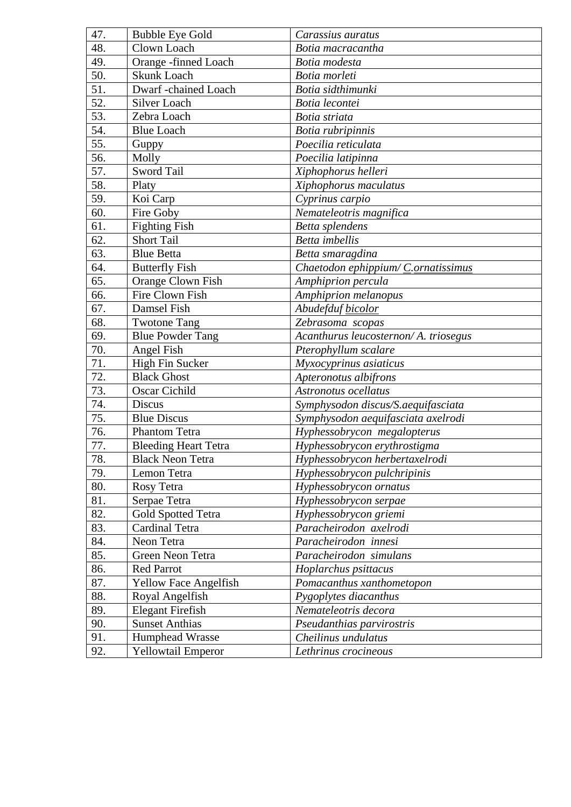| 47. | <b>Bubble Eye Gold</b>      | Carassius auratus                    |
|-----|-----------------------------|--------------------------------------|
| 48. | Clown Loach                 | Botia macracantha                    |
| 49. | Orange -finned Loach        | Botia modesta                        |
| 50. | <b>Skunk Loach</b>          | Botia morleti                        |
| 51. | Dwarf -chained Loach        | Botia sidthimunki                    |
| 52. | Silver Loach                | Botia lecontei                       |
| 53. | Zebra Loach                 | Botia striata                        |
| 54. | <b>Blue Loach</b>           | Botia rubripinnis                    |
| 55. | Guppy                       | Poecilia reticulata                  |
| 56. | Molly                       | Poecilia latipinna                   |
| 57. | <b>Sword Tail</b>           | Xiphophorus helleri                  |
| 58. | Platy                       | Xiphophorus maculatus                |
| 59. | Koi Carp                    | Cyprinus carpio                      |
| 60. | Fire Goby                   | Nemateleotris magnifica              |
| 61. | <b>Fighting Fish</b>        | Betta splendens                      |
| 62. | <b>Short Tail</b>           | <b>Betta</b> imbellis                |
| 63. | <b>Blue Betta</b>           | Betta smaragdina                     |
| 64. | <b>Butterfly Fish</b>       | Chaetodon ephippium/ C.ornatissimus  |
| 65. | Orange Clown Fish           | Amphiprion percula                   |
| 66. | Fire Clown Fish             | Amphiprion melanopus                 |
| 67. | Damsel Fish                 | Abudefduf bicolor                    |
| 68. | <b>Twotone Tang</b>         | Zebrasoma scopas                     |
| 69. | <b>Blue Powder Tang</b>     | Acanthurus leucosternon/A. triosegus |
| 70. | Angel Fish                  | Pterophyllum scalare                 |
| 71. | High Fin Sucker             | Myxocyprinus asiaticus               |
| 72. | <b>Black Ghost</b>          | Apteronotus albifrons                |
| 73. | Oscar Cichild               | Astronotus ocellatus                 |
| 74. | <b>Discus</b>               | Symphysodon discus/S.aequifasciata   |
| 75. | <b>Blue Discus</b>          | Symphysodon aequifasciata axelrodi   |
| 76. | Phantom Tetra               | Hyphessobrycon megalopterus          |
| 77. | <b>Bleeding Heart Tetra</b> | Hyphessobrycon erythrostigma         |
| 78. | <b>Black Neon Tetra</b>     | Hyphessobrycon herbertaxelrodi       |
| 79. | Lemon Tetra                 | Hyphessobrycon pulchripinis          |
| 80. | Rosy Tetra                  | Hyphessobrycon ornatus               |
| 81. | Serpae Tetra                | Hyphessobrycon serpae                |
| 82. | Gold Spotted Tetra          | Hyphessobrycon griemi                |
| 83. | Cardinal Tetra              | Paracheirodon axelrodi               |
| 84. | Neon Tetra                  | Paracheirodon innesi                 |
| 85. | Green Neon Tetra            | Paracheirodon simulans               |
| 86. | <b>Red Parrot</b>           | Hoplarchus psittacus                 |
| 87. | Yellow Face Angelfish       | Pomacanthus xanthometopon            |
| 88. | Royal Angelfish             | Pygoplytes diacanthus                |
| 89. | <b>Elegant Firefish</b>     | Nemateleotris decora                 |
| 90. | <b>Sunset Anthias</b>       | Pseudanthias parvirostris            |
| 91. | Humphead Wrasse             | Cheilinus undulatus                  |
| 92. | Yellowtail Emperor          | Lethrinus crocineous                 |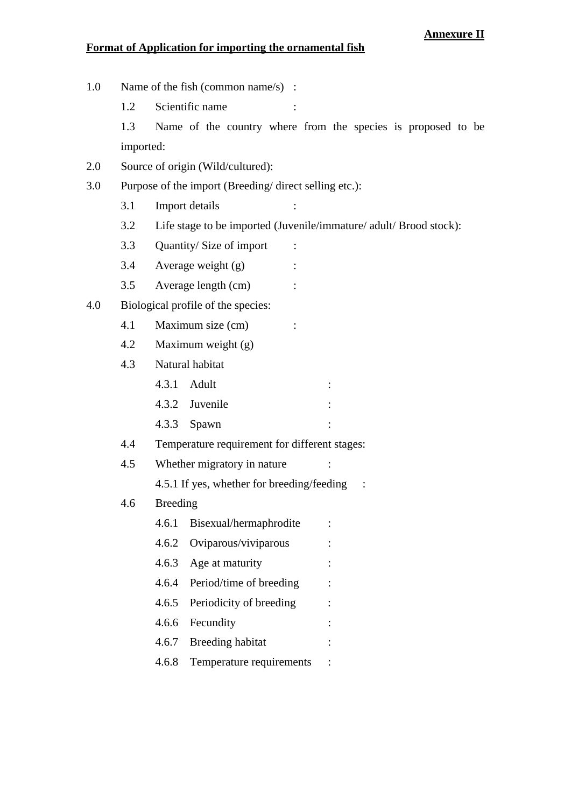## **Annexure II**

## **Format of Application for importing the ornamental fish**

1.0 Name of the fish (common name/s) : 1.2 Scientific name 1.3 Name of the country where from the species is proposed to be imported: 2.0 Source of origin (Wild/cultured): 3.0 Purpose of the import (Breeding/ direct selling etc.): 3.1 Import details : 3.2 Life stage to be imported (Juvenile/immature/ adult/ Brood stock): 3.3 Quantity/ Size of import : 3.4 Average weight (g) : 3.5 Average length (cm) : 4.0 Biological profile of the species: 4.1 Maximum size (cm) : 4.2 Maximum weight (g) 4.3 Natural habitat 4.3.1 Adult : 4.3.2 Juvenile : 4.3.3 Spawn : 4.4 Temperature requirement for different stages: 4.5 Whether migratory in nature : 4.5.1 If yes, whether for breeding/feeding : 4.6 Breeding 4.6.1 Bisexual/hermaphrodite : 4.6.2 Oviparous/viviparous : 4.6.3 Age at maturity : 4.6.4 Period/time of breeding : 4.6.5 Periodicity of breeding : 4.6.6 Fecundity : 4.6.7 Breeding habitat : 4.6.8 Temperature requirements :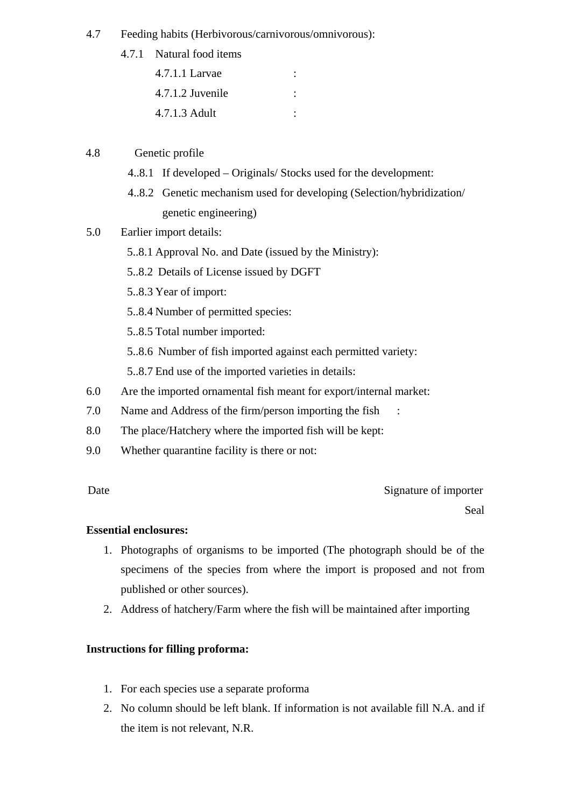## 4.7 Feeding habits (Herbivorous/carnivorous/omnivorous):

- 4.7.1 Natural food items
	- 4.7.1.1 Larvae : 4.7.1.2 Juvenile : 4.7.1.3 Adult :

## 4.8 Genetic profile

- 4..8.1 If developed Originals/ Stocks used for the development:
- 4..8.2 Genetic mechanism used for developing (Selection/hybridization/ genetic engineering)

## 5.0 Earlier import details:

- 5..8.1 Approval No. and Date (issued by the Ministry):
- 5..8.2 Details of License issued by DGFT
- 5..8.3 Year of import:
- 5..8.4 Number of permitted species:
- 5..8.5 Total number imported:
- 5..8.6 Number of fish imported against each permitted variety:
- 5..8.7 End use of the imported varieties in details:
- 6.0 Are the imported ornamental fish meant for export/internal market:
- 7.0 Name and Address of the firm/person importing the fish :
- 8.0 The place/Hatchery where the imported fish will be kept:
- 9.0 Whether quarantine facility is there or not:

Date Signature of importer Seal

## **Essential enclosures:**

- 1. Photographs of organisms to be imported (The photograph should be of the specimens of the species from where the import is proposed and not from published or other sources).
- 2. Address of hatchery/Farm where the fish will be maintained after importing

## **Instructions for filling proforma:**

- 1. For each species use a separate proforma
- 2. No column should be left blank. If information is not available fill N.A. and if the item is not relevant, N.R.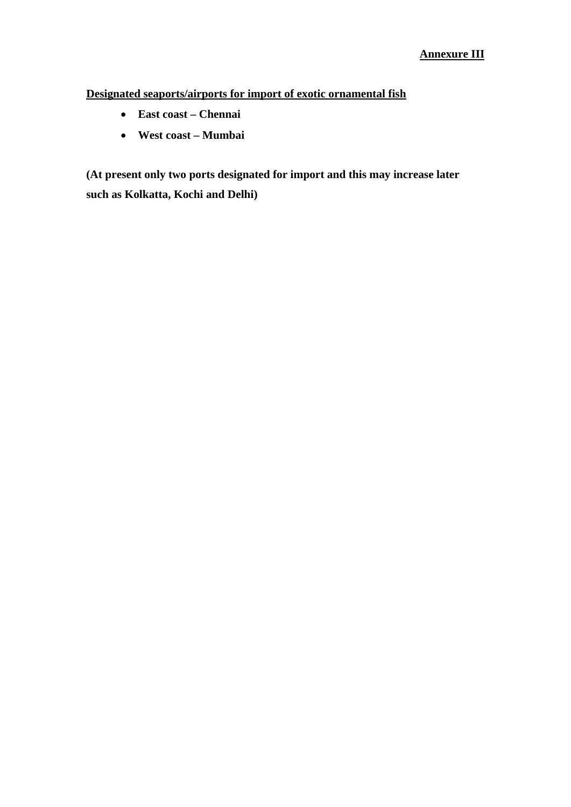**Designated seaports/airports for import of exotic ornamental fish**

- **East coast Chennai**
- **West coast Mumbai**

**(At present only two ports designated for import and this may increase later such as Kolkatta, Kochi and Delhi)**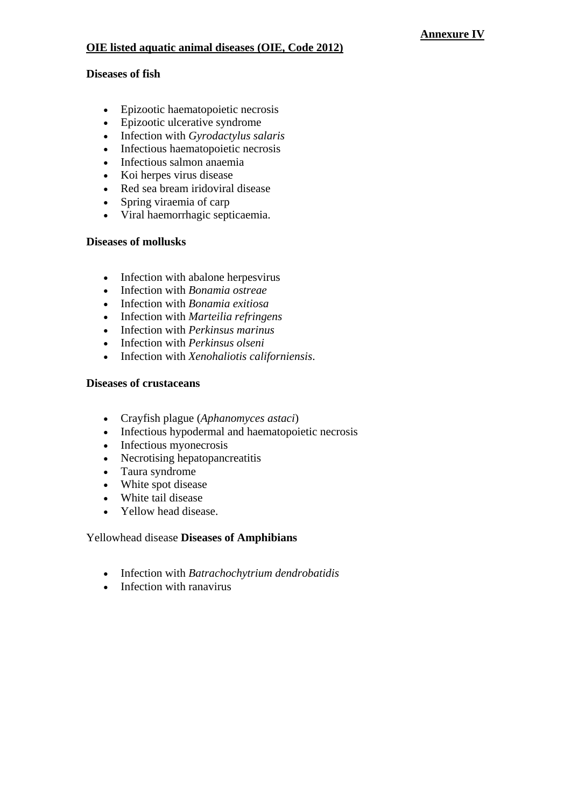# **OIE listed aquatic animal diseases (OIE, Code 2012)**

### **Diseases of fish**

- Epizootic haematopoietic necrosis
- Epizootic ulcerative syndrome
- Infection with *Gyrodactylus salaris*
- Infectious haematopoietic necrosis
- Infectious salmon anaemia
- Koi herpes virus disease
- Red sea bream iridoviral disease
- Spring viraemia of carp
- Viral haemorrhagic septicaemia.

## **Diseases of mollusks**

- Infection with abalone herpesvirus
- Infection with *Bonamia ostreae*
- Infection with *Bonamia exitiosa*
- Infection with *Marteilia refringens*
- Infection with *Perkinsus marinus*
- Infection with *Perkinsus olseni*
- Infection with *Xenohaliotis californiensis*.

## **Diseases of crustaceans**

- Crayfish plague (*Aphanomyces astaci*)
- Infectious hypodermal and haematopoietic necrosis
- Infectious myonecrosis
- Necrotising hepatopancreatitis
- Taura syndrome
- White spot disease
- White tail disease
- Yellow head disease.

## Yellowhead disease **Diseases of Amphibians**

- Infection with *Batrachochytrium dendrobatidis*
- Infection with ranavirus